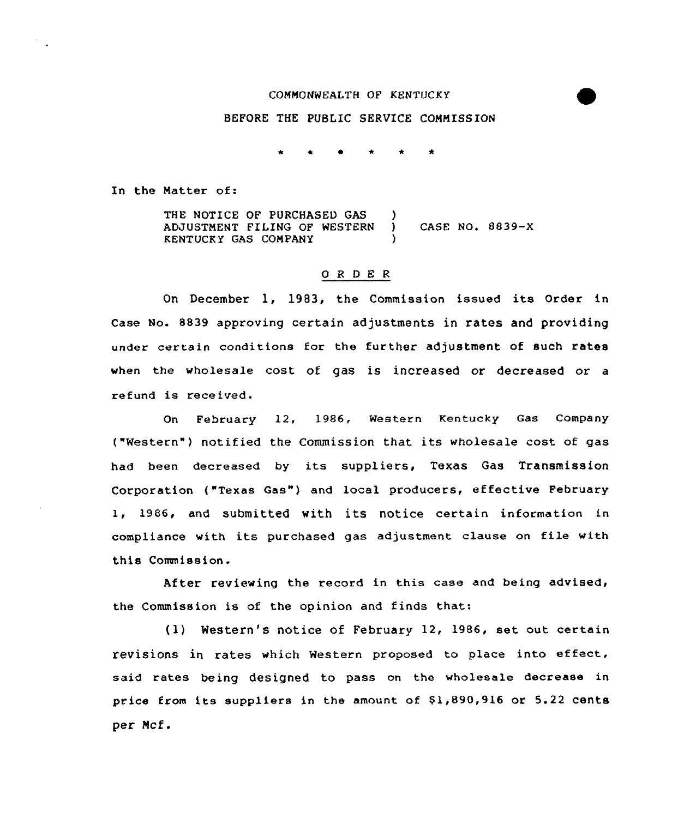# COMMONWEAZTH OF KENTUCKY

### BEFORE THE PUBLIC SERVICE COMMISSION

In the Matter of:

THE NOTICE OF PURCHASED GAS )<br>ADJUSTMENT FILING OF WESTERN ) ADJUSTMENT FILING OF WESTERN ) CASE NO. 8839-X KENTUCKY GAS COMPANY )

## 0 <sup>R</sup> <sup>D</sup> E <sup>R</sup>

On December 1, 1983, the Commission issued its Order in Case No. 8839 approving certain adjustments in rates and providing under certain conditions for the further adjustment of such rates when the wholesale cost of gas is increased or decreased or a refund is received.

On February 12, 1986, Western Kentucky Gas Company ("Western" ) notified the Commission that its wholesale cost of gas had been decreased by its suppliers, Texas Gas Transmission Corporation ("Texas Gas") and local producers, effective February 1, 1986, and submitted with its notice certain information in compliance with its purchased gas adjustment clause on file with this Commission.

After reviewing the record in this case and being advised, the Commission is of the opinion and finds that:

(1) Western's notice of February 12, 1986, set out certain revisions in rates which Western proposed to place into effect, said rates being designed to pass on the wholesale decrease in price from its suppliers in the amount of \$1,890,916 or 5.22 cents per Mcf.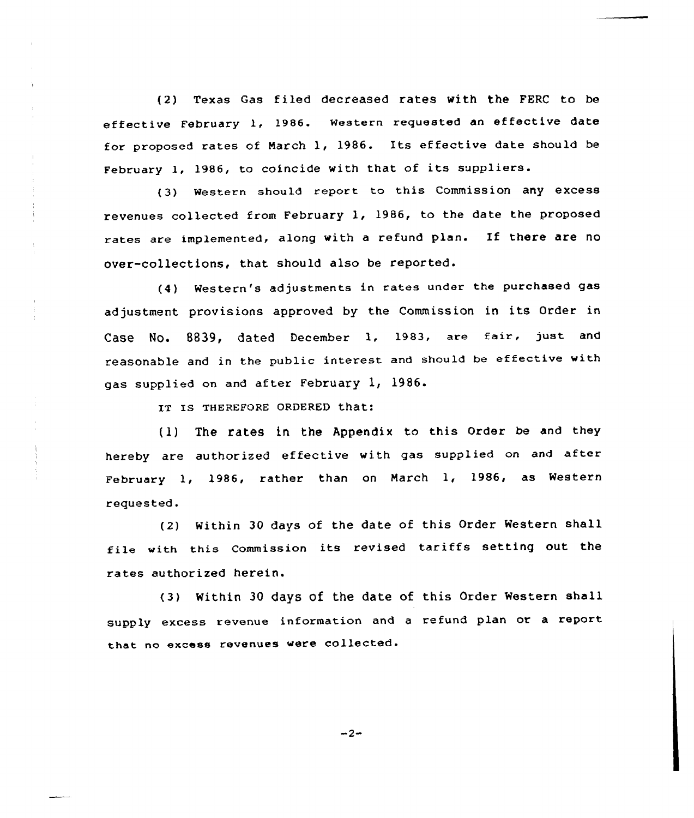(2) Texas Gas filed decreased rates with the FERC to be effective February 1, 1986. Western requested an effective date for proposed rates of March 1, 1986. Its ef fective date should be February 1, 1986, to coincide with that of its suppliers.

(3) Western should report to this Commission any excess revenues collected from February 1, 1986, to the date the proposed rates are implemented, along with a refund plan. If there are no over-collections, that should also be reported.

(4) Western's adjustments in rates under the purchased gas adjustment provisions approved by the Commission in its Order in Case No. 8839, dated December 1, 1983, are fair, just and reasonable and in the public interest and should be effective with gas supplied on and after February 1, 1986.

IT IS THEREFORE ORDERED that:

(1) The fates in the Appendix to this Order be and they hereby are authorized effective with gas supplied on and after February 1, 1986, rather than on March 1, 1986, as Western requested.

(2) Within 30 days of the date of this Order Western shall file with this commission its revised tariffs setting out the rates authorized herein.

(3) Within 30 days of the date of this Order Western shall supply excess revenue information and <sup>a</sup> refund plan or <sup>a</sup> report that no excess revenues were collected.

 $-2-$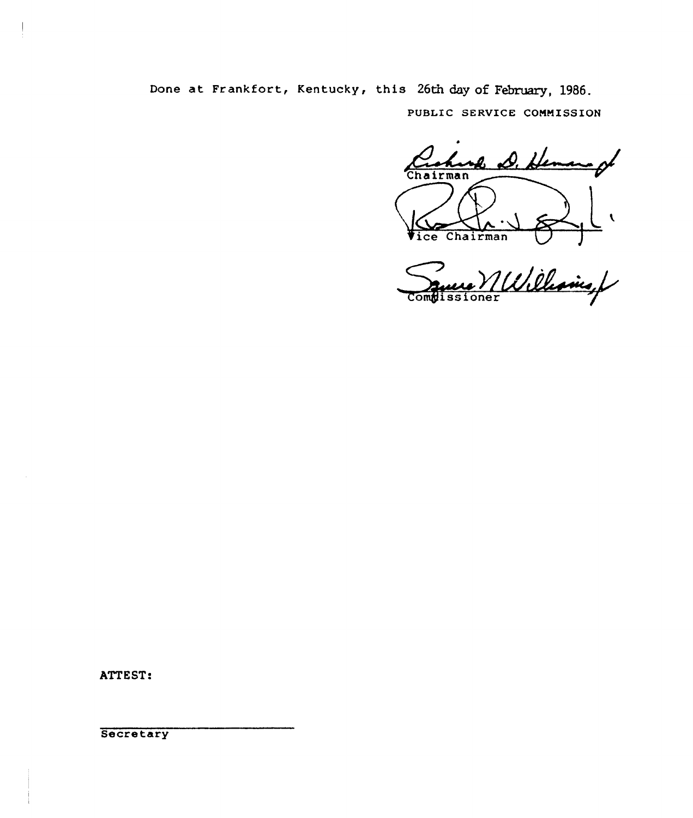Done at Frankfort, Kentucky, this 26th day of February, 1986. PUBLIC SERVICE COMMISSION

nh D. He Chairman l

Vice Chairman VIII **Comgissioner** 

ATTEST:

**Secretary**